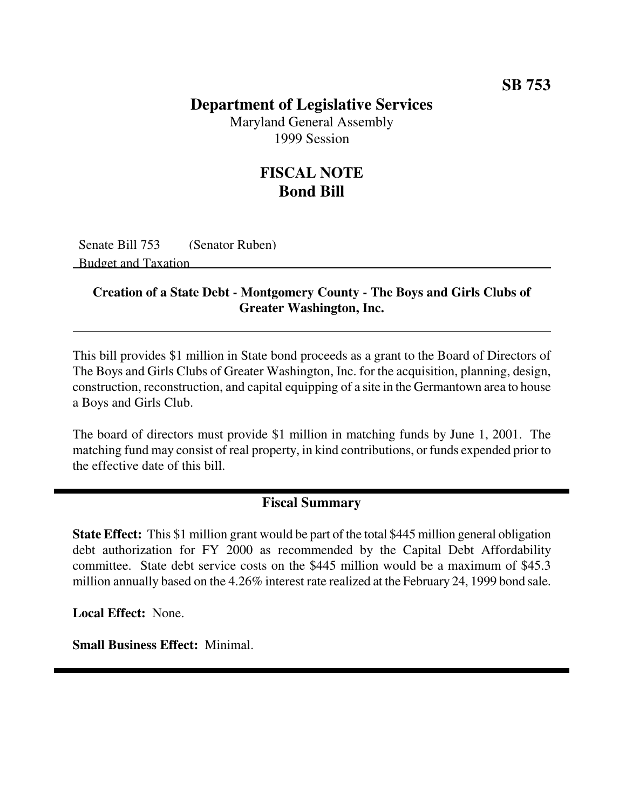## **Department of Legislative Services**

Maryland General Assembly 1999 Session

## **FISCAL NOTE Bond Bill**

Senate Bill 753 (Senator Ruben) Budget and Taxation

#### **Creation of a State Debt - Montgomery County - The Boys and Girls Clubs of Greater Washington, Inc.**

This bill provides \$1 million in State bond proceeds as a grant to the Board of Directors of The Boys and Girls Clubs of Greater Washington, Inc. for the acquisition, planning, design, construction, reconstruction, and capital equipping of a site in the Germantown area to house a Boys and Girls Club.

The board of directors must provide \$1 million in matching funds by June 1, 2001. The matching fund may consist of real property, in kind contributions, or funds expended prior to the effective date of this bill.

### **Fiscal Summary**

**State Effect:** This \$1 million grant would be part of the total \$445 million general obligation debt authorization for FY 2000 as recommended by the Capital Debt Affordability committee. State debt service costs on the \$445 million would be a maximum of \$45.3 million annually based on the 4.26% interest rate realized at the February 24, 1999 bond sale.

**Local Effect:** None.

**Small Business Effect:** Minimal.